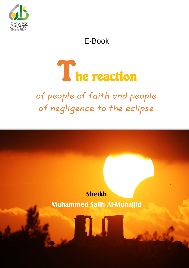

## E-Book

# The reaction

of people of faith and people of negligence to the eclipse

# **Sheikh Muhammed Salih Al-Munajjid**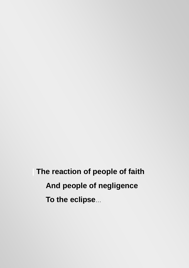**| The reaction of people of faith And people of negligence To the eclipse**…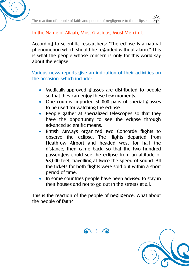

#### In the Name of Allaah, Most Gracious, Most Merciful.

According to scientific researchers: "The eclipse is a natural phenomenon which should be regarded without alarm." This is what the people whose concern is only for this world say about the eclipse.

#### Various news reports give an indication of their activities on the occasion, which include:

- Medically-approved glasses are distributed to people so that they can enjoy these few moments.
- One country imported 50,000 pairs of special glasses to be used for watching the eclipse.
- People gather at specialized telescopes so that they have the opportunity to see the eclipse through advanced scientific means.
- British Airways organized two Concorde flights to observe the eclipse. The flights departed from Heathrow Airport and headed west for half the distance, then came back, so that the two hundred passengers could see the eclipse from an altitude of 58,000 feet, travelling at twice the speed of sound. All the tickets for both flights were sold out within a short period of time.
- In some countries people have been advised to stay in their houses and not to go out in the streets at all.

This is the reaction of the people of negligence. What about the people of faith?



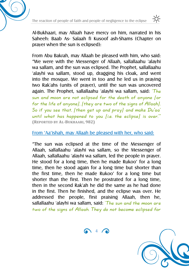



Al-Bukhaari, may Allaah have mercy on him, narrated in his Saheeh: Baab As- Salaah fi Kusoof ash-Shams (Chapter on prayer when the sun is eclipsed):

From Abu Bakrah, may Allaah be pleased with him, who said: "We were with the Messenger of Allaah, sallallaahu 'alayhi wa sallam, and the sun was eclipsed. The Prophet, sallallaahu 'alayhi wa sallam, stood up, dragging his cloak, and went into the mosque. We went in too and he led us in praying two Rak'ahs (units of prayer), until the sun was uncovered again. The Prophet, sallallaahu 'alayhi wa sallam, said:  $Th_e$ sun and moon are not eclipsed for the death of anyone [or for the life of anyone], [they are two of the signs of Allaah]. So if you see that, [then get up and pray] and make Du'aa' until what has happened to you  $[$ i.e. the eclipse $]$  is over." **(REPORTED BY AL-BUKHAARI, 982)**

#### From 'Aa'ishah, may Allaah be pleased with her, who said:

"The sun was eclipsed at the time of the Messenger of Allaah, sallallaahu 'alayhi wa sallam, so the Messenger of Allaah, sallallaahu 'alayhi wa sallam, led the people in prayer. He stood for a long time, then he made Rukoo' for a long time, then he stood again for a long time but shorter than the first time, then he made Rukoo' for a long time but shorter than the first. Then he prostrated for a long time, then in the second Rak'ah he did the same as he had done in the first. Then he finished, and the eclipse was over. He addressed the people, first praising Allaah, then he, sallallaahu 'alayhi wa sallam, said:  $The$  sun and the moon are two of the signs of Allaah. They do not become eclipsed for

 $\bigcap_{i=1}^{\infty}$  4  $\bigcap_{i=1}^{\infty}$ 

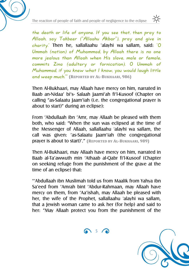



the death or life of anyone. If you see that, then pray to Allaah, say Takbeer ("Allaahu Akbar"), pray and give in charity.' Then he, sallallaahu 'alayhi wa sallam, said: 'O Ummah (nation) of Muhammad, by Allaah there is no one more jealous than Allaah when His slave, male or female, commits Zina (adultery or fornication). O Ummah of Muhammad, if you knew what I know, you would laugh little and weep much.'" **(REPORTED BY AL-BUKHAARI, 986)**

Then Al-Bukhaari, may Allaah have mercy on him, narrated in Baab an-Nidaa' bi's- Salaah Jaami'ah fi'l-Kusoof (Chapter on calling "as-Salaatu Jaam'iah (i.e. the congregational prayer is about to start)" during an eclipse):

From 'Abdullaah ibn 'Amr, may Allaah be pleased with them both, who said: "When the sun was eclipsed at the time of the Messenger of Allaah, sallallaahu 'alayhi wa sallam, the call was given: 'as-Salaatu Jaam'iah (the congregational prayer is about to start)'." **(REPORTED BY AL-BUKHAARI, 989)**

Then Al-Bukhaari, may Allaah have mercy on him, narrated in Baab al-Ta'awwuth min 'Athaab al-Qabr fi'l-Kusoof (Chapter on seeking refuge from the punishment of the grave at the time of an eclipse) that:

"'Abdullaah ibn Muslimah told us from Maalik from Yahya ibn Sa'eed from 'Amrah bint 'Abdur-Rahmaan, may Allaah have mercy on them, from 'Aa'ishah, may Allaah be pleased with her, the wife of the Prophet, sallallaahu 'alayhi wa sallam, that a Jewish woman came to ask her (for help) and said to her: "May Allaah protect you from the punishment of the

 $\bigcap_{i=1}^n$ 

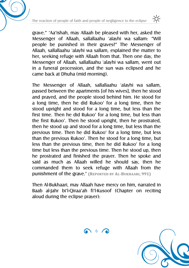



grave." 'Aa'ishah, may Allaah be pleased with her, asked the Messenger of Allaah, sallallaahu 'alayhi wa sallam: "Will people be punished in their graves?" The Messenger of Allaah, sallallaahu 'alayhi wa sallam, explained the matter to her, seeking refuge with Allaah from that. Then one day, the Messenger of Allaah, sallallaahu 'alayhi wa sallam, went out in a funeral procession, and the sun was eclipsed and he came back at Dhuha (mid morning).

The Messenger of Allaah, sallallaahu 'alayhi wa sallam, passed between the apartments [of his wives], then he stood and prayed, and the people stood behind him. He stood for a long time, then he did Rukoo' for a long time, then he stood upright and stood for a long time, but less than the first time. Then he did Rukoo' for a long time, but less than the first Rukoo'. Then he stood upright, then he prostrated, then he stood up and stood for a long time, but less than the previous time. Then he did Rukoo' for a long time, but less than the previous Rukoo'. Then he stood for a long time, but less than the previous time, then he did Rukoo' for a long time but less than the previous time. Then he stood up, then he prostrated and finished the prayer. Then he spoke and said as much as Allaah willed he should say, then he commanded them to seek refuge with Allaah from the punishment of the grave." **(REPORTED BY AL-BUKHAARI, 991)**

Then Al-Bukhaari, may Allaah have mercy on him, narrated in Baab al-Jahr bi'l-Qiraa'ah fi'l-Kusoof (Chapter on reciting aloud during the eclipse prayer):



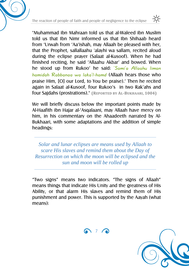

"Muhammad ibn Mahraan told us that al-Waleed ibn Muslim told us that Ibn Nimr informed us that Ibn Shihaab heard from 'Urwah from 'Aa'ishah, may Allaah be pleased with her, that the Prophet, sallallaahu 'alayhi wa sallam, recited aloud during the eclipse prayer (Salaat al-Kusoof). When he had finished reciting, he said 'Allaahu Akbar' and bowed. When he stood up from Rukoo' he said: 'Sami'a Allaahu liman hamidah Rabbanaa wa laka'l-hamd (Allaah hears those who praise Him, [O] our Lord, to You be praise).' Then he recited again in Salaat al-Kusoof, four Rukoo's in two Rak'ahs and four Sajdahs (prostrations)." **(REPORTED BY AL-BUKHAARI, 1004)**

We will briefly discuss below the important points made by Al-Haafith ibn Hajar al-'Asqalaani, may Allaah have mercy on him, in his commentary on the Ahaadeeth narrated by Al-Bukhaari, with some adaptations and the addition of simple headings:

*Solar and lunar eclipses are means used by Allaah to scare His slaves and remind them about the Day of Resurrection on which the moon will be eclipsed and the sun and moon will be rolled up*

"Two signs" means two indicators. "The signs of Allaah" means things that indicate His Unity and the greatness of His Ability, or that alarm His slaves and remind them of His punishment and power. This is supported by the Aayah (what means):



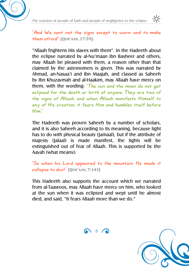



"And We sent not the signs except to warn, and to make them afraid" **[QUR'AAN, 17:59].**

"Allaah frightens His slaves with them". In the Hadeeth about the eclipse narrated by al-Nu'maan ibn Basheer and others, may Allaah be pleased with them, a reason other than that claimed by the astronomers is given. This was narrated by Ahmad, an-Nasaa'i and Ibn Maajah, and classed as Saheeh by Ibn Khuzaymah and al-Haakim, may Allaah have mercy on them, with the wording: "The sun and the moon do not get eclipsed for the death or birth of anyone. They are two of the signs of Allaah, and when Allaah manifests Himself to any of His creation, it fears Him and humbles itself before Him."

The Hadeeth was proven Saheeh by a number of scholars, and it is also Saheeh according to its meaning, because light has to do with physical beauty (Jamaal), but if the attribute of majesty (Jalaal) is made manifest, the lights will be extinguished out of fear of Allaah. This is supported by the Aayah (what means):

"So when his Lord appeared to the mountain, He made it collapse to dust" **[QUR'AAN, 7:143]**

This Hadeeth also supports the account which we narrated from al-Taawoos, may Allaah have mercy on him, who looked at the sun when it was eclipsed and wept until he almost died, and said, "It fears Allaah more than we do."

686

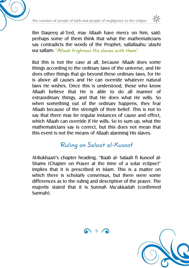The reaction of people of faith and people of negligence to the eclipse



Ibn Daqeeq al-'Eed, may Allaah have mercy on him, said: perhaps some of them think that what the mathematicians say contradicts the words of the Prophet, sallallaahu 'alayhi wa sallam: "Allaah frightens His slaves with them".

But this is not the case at all, because Allaah does some things according to the ordinary laws of the universe, and He does other things that go beyond these ordinary laws, for He is above all causes and He can override whatever natural laws He wishes. Once this is understood, those who know Allaah believe that He is able to do all manner of extraordinary things, and that He does what He wills. So when something out of the ordinary happens, they fear Allaah because of the strength of their belief. This is not to say that there may be regular instances of cause and effect, which Allaah can override if He wills. So to sum up, what the mathematicians say is correct, but this does not mean that this event is not the means of Allaah alarming His slaves.

## Ruling on Salaat al-Kusoof

Al-Bukhaari's chapter heading, "Baab al- Salaah fi Kusoof al-Shams (Chapter on Prayer at the time of a solar eclipse)" implies that it is prescribed in Islam. This is a matter on which there is scholarly consensus, but there were some differences as to the ruling and description of the prayer. The majority stated that it is Sunnah Mu'akkadah (confirmed Sunnah).



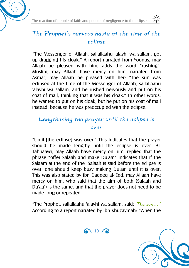



## The Prophet's nervous haste at the time of the eclipse

"The Messenger of Allaah, sallallaahu 'alayhi wa sallam, got up dragging his cloak." A report narrated from Yoonus, may Allaah be pleased with him, adds the word "rushing". Muslim, may Allaah have mercy on him, narrated from Asma', may Allaah be pleased with her: "The sun was eclipsed at the time of the Messenger of Allaah, sallallaahu 'alayhi wa sallam, and he rushed nervously and put on his coat of mail, thinking that it was his cloak." In other words, he wanted to put on his cloak, but he put on his coat of mail instead, because he was preoccupied with the eclipse.

## Lengthening the prayer until the eclipse is over

"Until [the eclipse] was over." This indicates that the prayer should be made lengthy until the eclipse is over. Al-Tahhaawi, may Allaah have mercy on him, replied that the phrase "offer Salaah and make Du'aa'" indicates that if the Salaam at the end of the Salaah is said before the eclipse is over, one should keep busy making Du'aa' until it is over. This was also stated by Ibn Daqeeq al-'Eed, may Allaah have mercy on him, who said that the aim of both (Salaah and Du'aa') is the same, and that the prayer does not need to be made long or repeated.

"The Prophet, sallallaahu 'alayhi wa sallam, said:  $The$  sun..." According to a report narrated by Ibn Khuzaymah: "When the

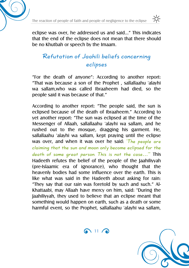



eclipse was over, he addressed us and said…" This indicates that the end of the eclipse does not mean that there should be no Khutbah or speech by the Imaam.

## Refutation of Jaahili beliefs concerning eclipses

"For the death of anyone": According to another report: "That was because a son of the Prophet , sallallaahu 'alayhi wa sallam,who was called Ibraaheem had died, so the people said it was because of that."

According to another report: "The people said, the sun is eclipsed because of the death of Ibraaheem." According to yet another report: "The sun was eclipsed at the time of the Messenger of Allaah, sallallaahu 'alayhi wa sallam, and he rushed out to the mosque, dragging his garment. He, sallallaahu 'alayhi wa sallam, kept praying until the eclipse was over, and when it was over he said: 'The people are claiming that the sun and moon only become eclipsed for the death of some great person. This is not the case…'" This Hadeeth refutes the belief of the people of the Jaahiliyyah (pre-Islaamic era of ignorance), who thought that the heavenly bodies had some influence over the earth. This is like what was said in the Hadeeth about asking for rain: "They say that our rain was foretold by such and such." Al-Khattaabi, may Allaah have mercy on him, said: "During the Jaahiliyyah, they used to believe that an eclipse meant that something would happen on earth, such as a death or some harmful event, so the Prophet, sallallaahu 'alayhi wa sallam,

 $\bigcap$  11 $\bigcap$ 

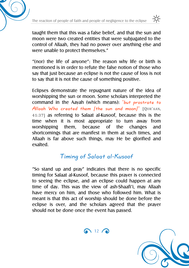

taught them that this was a false belief, and that the sun and moon were two created entities that were subjugated to the control of Allaah, they had no power over anything else and were unable to protect themselves."

"(nor) the life of anyone": The reason why life or birth is mentioned is in order to refute the false notion of those who say that just because an eclipse is not the cause of loss is not to say that it is not the cause of something positive.

Eclipses demonstrate the repugnant nature of the idea of worshipping the sun or moon. Some scholars interpreted the command in the Aayah (which means): "but prostrate to Allaah Who created them [the sun and moon]" **[QUR'AAN, 41:37]** as referring to Salaat al-Kusoof, because this is the time when it is most appropriate to turn away from worshipping them, because of the changes and shortcomings that are manifest in them at such times, and Allaah is far above such things, may He be glorified and exalted.

## Timing of Salaat al-Kusoof

"So stand up and pray" indicates that there is no specific timing for Salaat al-Kusoof, because this prayer is connected to seeing the eclipse, and an eclipse could happen at any time of day. This was the view of ash-Shaafi'i, may Allaah have mercy on him, and those who followed him. What is meant is that this act of worship should be done before the eclipse is over, and the scholars agreed that the prayer should not be done once the event has passed.

 $\bigcap$  12  $\bigcap$ 

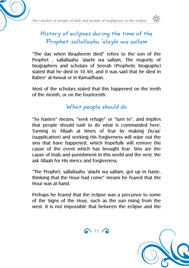



## History of eclipses during the time of the Prophet, sallallaahu 'alayhi wa sallam

"The day when Ibraaheem died" refers to the son of the Prophet , sallallaahu 'alayhi wa sallam. The majority of biographers and scholars of Seerah (Prophetic biography) stated that he died in 10 AH, and it was said that he died in Rabee' al-Awwal or in Ramadhaan.

Most of the scholars stated that this happened on the tenth of the month, or on the fourteenth.

## What people should do

"So hasten" means, "seek refuge" or "turn to", and implies that people should rush to do what is commanded here. Turning to Allaah at times of fear by making Du'aa' (supplication) and seeking His forgiveness will wipe out the sins that have happened, which hopefully will remove the cause of the event which has brought fear. Sins are the cause of trials and punishment in this world and the next. We ask Allaah for His mercy and forgiveness.

"The Prophet, sallallaahu 'alayhi wa sallam, got up in haste, thinking that the Hour had come" means he feared that the Hour was at hand.

Perhaps he feared that the eclipse was a precursor to some of the Signs of the Hour, such as the sun rising from the west. It is not impossible that between the eclipse and the

 $\bigcap$  13  $\bigcap$ 

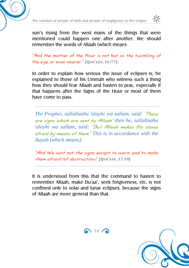



sun's rising from the west many of the things that were mentioned could happen one after another. We should remember the words of Allaah (which mean):

"And the matter of the Hour is not but as the twinkling of the eye, or even nearer." **[QUR'AAN, 16:77].**

In order to explain how serious the issue of eclipses is, he explained to those of his Ummah who witness such a thing how they should fear Allaah and hasten to pray, especially if that happens after the Signs of the Hour or most of them have come to pass.

*The Prophet, sallallaahu 'alayhi wa sallam, said:* "These are signs which are sent by Allaah" *then he, sallallaahu 'alayhi wa sallam, said:* "But Allaah makes His slaves afraid by means of them." *This is in accordance with the Aayah (which means):*

"And We sent not the signs except to warn, and to make them afraid (of destruction)" *[QUR'AAN, 17:59]*

It is understood from this that the command to hasten to remember Allaah, make Du'aa', seek forgiveness, etc. is not confined only to solar and lunar eclipses, because the signs of Allaah are more general than that.



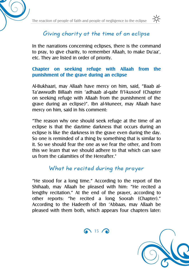



## Giving charity at the time of an eclipse

In the narrations concerning eclipses, there is the command to pray, to give charity, to remember Allaah, to make Du'aa', etc. They are listed in order of priority.

#### **Chapter on seeking refuge with Allaah from the punishment of the grave during an eclipse**

Al-Bukhaari, may Allaah have mercy on him, said, "Baab al-Ta'awwudh Billaah min 'adhaab al-qabr fi'l-kusoof (Chapter on seeking refuge with Allaah from the punishment of the grave during an eclipse)". Ibn al-Muneer, may Allaah have mercy on him, said in his comment:

"The reason why one should seek refuge at the time of an eclipse is that the daytime darkness that occurs during an eclipse is like the darkness in the grave even during the day. So one is reminded of a thing by something that is similar to it. So we should fear the one as we fear the other, and from this we learn that we should adhere to that which can save us from the calamities of the Hereafter."

### What he recited during the prayer

"He stood for a long time." According to the report of Ibn Shihaab, may Allaah be pleased with him: "He recited a lengthy recitation." At the end of the prayer, according to other reports: "he recited a long Soorah (Chapter)." According to the Hadeeth of Ibn 'Abbaas, may Allaah be pleased with them both, which appears four chapters later:

 $\bigcap$  15  $\bigcap$ 

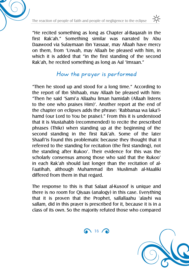

"He recited something as long as Chapter al-Baqarah in the first Rak'ah." Something similar was narrated by Abu Daawood via Sulaymaan ibn Yassaar, may Allaah have mercy on them, from 'Urwah, may Allaah be pleased with him, in which it is added that "in the first standing of the second Rak'ah, he recited something as long as Aal 'Imraan."

## How the prayer is performed

"Then he stood up and stood for a long time." According to the report of Ibn Shihaab, may Allaah be pleased with him: "Then he said 'Sami'a Allaahu liman hamidah (Allaah listens to the one who praises Him)'. Another report at the end of the chapter on eclipses adds the phrase: 'Rabbanaa wa laka'lhamd (our Lord to You be praise)." From this it is understood that it is Mustahabb (recommended) to recite the prescribed phrases (Thikr) when standing up at the beginning of the second standing in the first Rak'ah. Some of the later Shaafi'is found this problematic because they thought that it referred to the standing for recitation (the first standing), not the standing after Rukoo'. Their evidence for this was the scholarly consensus among those who said that the Rukoo' in each Rak'ah should last longer than the recitation of al-Faatihah, although Muhammad ibn Muslimah al-Maaliki differed from them in that regard.

The response to this is that Salaat al-Kusoof is unique and there is no room for Qiyaas (analogy) in this case. Everything that it is proven that the Prophet, sallallaahu 'alayhi wa sallam, did in this prayer is prescribed for it, because it is in a class of its own. So the majority refuted those who compared

 $\bigcap$  16  $\bigcap$ 

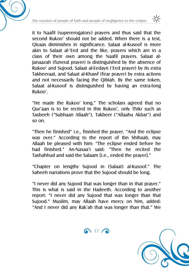it to Naafil (supererogatory) prayers and thus said that the second Rukoo' should not be added. When there is a text, Qiyaas diminishes in significance. Salaat al-Kusoof is more akin to Salaat al-'Eed and the like, prayers which are in a class of their own among the Naafil prayers. Salaat al-Janaazah (funeral prayer) is distinguished by the absence of Rukoo' and Sujood, Salaat al-Eedayn ('Eed prayer) by its extra Takbeeraat, and Salaat al-Khawf (fear prayer) by extra actions and not necessarily facing the Qiblah. By the same token, Salaat al-Kusoof is distinguished by having an extra-long Rukoo'.

"He made the Rukoo' long." The scholars agreed that no Qur'aan is to be recited in this Rukoo', only Thikr such as Tasbeeh ("Subhaan Allaah"), Takbeer ("Allaahu Akbar") and so on.

"Then he finished" i.e., finished the prayer. "And the eclipse was over." According to the report of Ibn Shihaab, may Allaah be pleased with him: "The eclipse ended before he had finished." An-Nasaa'i said: "Then he recited the Tashahhud and said the Salaam [i.e., ended the prayer]."

"Chapter on lengthy Sujood in (Salaat) al-Kusoof." The Saheeh narrations prove that the Sujood should be long.

"I never did any Sujood that was longer than in that prayer." This is what is said in the Hadeeth. According to another report: "I never did any Sujood that was longer than that Sujood." Muslim, may Allaah have mercy on him, added: "And I never did any Rak'ah that was longer than that." We

 $\bigcap$  17 $\bigcap$ 



-io-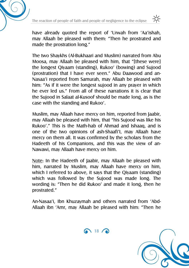



have already quoted the report of 'Urwah from 'Aa'ishah, may Allaah be pleased with them: "Then he prostrated and made the prostration long."

The two Shaykhs (Al-Bukhaari and Muslim) narrated from Abu Moosa, may Allaah be pleased with him, that "[these were] the longest Qiyaam (standing), Rukoo' (bowing) and Sujood (prostration) that I have ever seen." Abu Daawood and an-Nasaa'i reported from Samurah, may Allaah be pleased with him: "As if it were the longest sujood in any prayer in which he ever led us." From all of these narrations it is clear that the Sujood in Salaat al-Kusoof should be made long, as is the case with the standing and Rukoo'.

Muslim, may Allaah have mercy on him, reported from Jaabir, may Allaah be pleased with him, that "his Sujood was like his Rukoo'." This is the Math-hab of Ahmad and Ishaaq, and is one of the two opinions of ash-Shaafi'I, may Allaah have mercy on them all. It was confirmed by the scholars from the Hadeeth of his Companions, and this was the view of an-Nawawi, may Allaah have mercy on him.

Note: In the Hadeeth of Jaabir, may Allaah be pleased with him, narrated by Muslim, may Allaah have mercy on him, which I referred to above, it says that the Qiyaam (standing) which was followed by the Sujood was made long. The wording is: "Then he did Rukoo' and made it long, then he prostrated."

An-Nasaa'i, Ibn Khuzaymah and others narrated from 'Abd-Allaah ibn 'Amr, may Allaah be pleased with him: "Then he



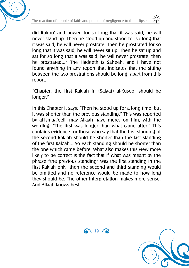

did Rukoo' and bowed for so long that it was said, he will never stand up. Then he stood up and stood for so long that it was said, he will never prostrate. Then he prostrated for so long that it was said, he will never sit up. Then he sat up and sat for so long that it was said, he will never prostrate, then he prostrated…" The Hadeeth is Saheeh, and I have not found anything in any report that indicates that the sitting between the two prostrations should be long, apart from this report.

"Chapter: the first Rak'ah in (Salaat) al-Kusoof should be longer."

In this Chapter it says: "Then he stood up for a long time, but it was shorter than the previous standing." This was reported by al-Ismaa'eeli, may Allaah have mercy on him, with the wording: "The first was longer than what came after." This contains evidence for those who say that the first standing of the second Rak'ah should be shorter than the last standing of the first Rak'ah… So each standing should be shorter than the one which came before. What also makes this view more likely to be correct is the fact that if what was meant by the phrase "the previous standing" was the first standing in the first Rak'ah only, then the second and third standing would be omitted and no reference would be made to how long they should be. The other interpretation makes more sense. And Allaah knows best.



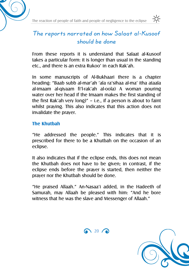



## The reports narrated on how Salaat al-Kusoof should be done

From these reports it is understand that Salaat al-Kusoof takes a particular form: it is longer than usual in the standing etc., and there is an extra Rukoo' in each Rak'ah.

In some manuscripts of Al-Bukhaari there is a chapter heading: "Baab subb al-mar'ah 'ala ra'sihaa al-ma' itha ataala al-imaam al-qiyaam fi'l-rak'ah al-oola) A woman pouring water over her head if the Imaam makes the first standing of the first Rak'ah very long)" – i.e., if a person is about to faint whilst praying. This also indicates that this action does not invalidate the prayer.

#### **The Khutbah**

"He addressed the people." This indicates that it is prescribed for there to be a Khutbah on the occasion of an eclipse.

It also indicates that if the eclipse ends, this does not mean the Khutbah does not have to be given; in contrast, if the eclipse ends before the prayer is started, then neither the prayer nor the Khutbah should be done.

"He praised Allaah." An-Nasaa'i added, in the Hadeeth of Samurah, may Allaah be pleased with him: "And he bore witness that he was the slave and Messenger of Allaah."



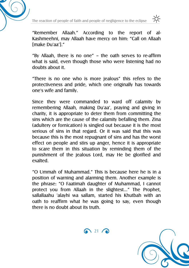



"Remember Allaah." According to the report of al-Kashmeehni, may Allaah have mercy on him: "Call on Allaah [make Du'aa']."

"By Allaah, there is no one" – the oath serves to re-affirm what is said, even though those who were listening had no doubts about it.

"There is no one who is more jealous" this refers to the protectiveness and pride, which one originally has towards one's wife and family.

Since they were commanded to ward off calamity by remembering Allaah, making Du'aa', praying and giving in charity, it is appropriate to deter them from committing the sins which are the cause of the calamity befalling them. Zina (adultery or fornication) is singled out because it is the most serious of sins in that regard. Or it was said that this was because this is the most repugnant of sins and has the worst effect on people and stirs up anger, hence it is appropriate to scare them in this situation by reminding them of the punishment of the jealous Lord, may He be glorified and exalted.

"O Ummah of Muhammad." This is because here he is in a position of warning and alarming them. Another example is the phrase: "O Faatimah daughter of Muhammad, I cannot protect you from Allaah in the slightest…" The Prophet, sallallaahu 'alayhi wa sallam, started his Khutbah with an oath to reaffirm what he was going to say, even though there is no doubt about its truth.

 $\bigcap$  21  $\bigcap$ 

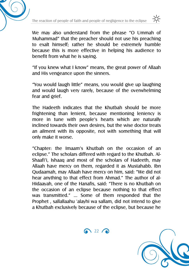



We may also understand from the phrase "O Ummah of Muhammad" that the preacher should not use his preaching to exalt himself; rather he should be extremely humble because this is more effective in helping his audience to benefit from what he is saying.

"If you knew what I know" means, the great power of Allaah and His vengeance upon the sinners.

"You would laugh little" means, you would give up laughing and would laugh very rarely, because of the overwhelming fear and grief.

The Hadeeth indicates that the Khutbah should be more frightening than lenient, because mentioning leniency is more in tune with people's hearts which are naturally inclined towards their own desires, but the wise doctor treats an ailment with its opposite, not with something that will only make it worse.

"Chapter: the Imaam's Khutbah on the occasion of an eclipse." The scholars differed with regard to the Khutbah. Al-Shaafi'i, Ishaaq and most of the scholars of Hadeeth, may Allaah have mercy on them, regarded it as Mustahabb. Ibn Qudaamah, may Allaah have mercy on him, said: "We did not hear anything to that effect from Ahmad." The author of al-Hidaayah, one of the Hanafis, said: "There is no Khutbah on the occasion of an eclipse because nothing to that effect was transmitted." … Some of them responded that the Prophet , sallallaahu 'alayhi wa sallam, did not intend to give a Khutbah exclusively because of the eclipse, but because he

 $\bigcap$  22  $\bigcap$ 

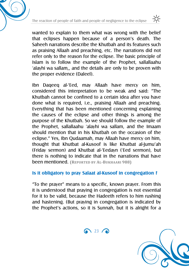



wanted to explain to them what was wrong with the belief that eclipses happen because of a person's death. The Saheeh narrations describe the Khutbah and its features such as praising Allaah and preaching, etc. The narrations did not refer only to the reason for the eclipse. The basic principle of Islam is to follow the example of the Prophet, sallallaahu 'alayhi wa sallam,, and the details are only to be proven with the proper evidence (Daleel).

Ibn Daqeeq al-'Eed, may Allaah have mercy on him, considered this interpretation to be weak and said: "The Khutbah cannot be confined to a certain idea after you have done what is required, i.e., praising Allaah and preaching. Everything that has been mentioned concerning explaining the causes of the eclipse and other things is among the purpose of the Khutbah. So we should follow the example of the Prophet, sallallaahu 'alayhi wa sallam, and the Imaam should mention that in his Khutbah on the occasion of the eclipse." Yes, Ibn Qudaamah, may Allaah have mercy on him, thought that Khutbat al-Kusoof is like Khutbat al-Jumu'ah (Friday sermon) and Khutbat al-'Eedayn ('Eed sermon), but there is nothing to indicate that in the narrations that have been mentioned. **(REPORTED BY AL-BUKHAARI 988)**

#### **Is it obligatory to pray Salaat al-Kusoof in congregation ?**

"To the prayer" means to a specific, known prayer. From this it is understood that praying in congregation is not essential for it to be valid, because the Hadeeth refers to him rushing and hastening. (But praying in congregation is indicated by the Prophet's actions, so it is Sunnah, but it is alright for a

 $\bigcap$  23  $\bigcap$ 

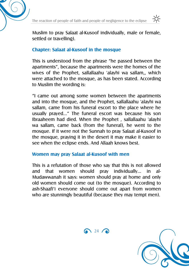



Muslim to pray Salaat al-Kusoof individually, male or female, settled or travelling).

#### **Chapter: Salaat al-Kusoof in the mosque**

This is understood from the phrase "he passed between the apartments", because the apartments were the homes of the wives of the Prophet, sallallaahu 'alayhi wa sallam,, which were attached to the mosque, as has been stated. According to Muslim the wording is:

"I came out among some women between the apartments and into the mosque, and the Prophet, sallallaahu 'alayhi wa sallam, came from his funeral escort to the place where he usually prayed…" The funeral escort was because his son Ibraaheem had died. When the Prophet , sallallaahu 'alayhi wa sallam, came back (from the funeral), he went to the mosque. If it were not the Sunnah to pray Salaat al-Kusoof in the mosque, praying it in the desert it may make it easier to see when the eclipse ends. And Allaah knows best.

#### **Women may pray Salaat al-Kusoof with men**

This is a refutation of those who say that this is not allowed and that women should pray individually… in al-Mudawwanah it says: women should pray at home and only old women should come out (to the mosque). According to ash-Shaafi'i everyone should come out apart from women who are stunningly beautiful (because they may tempt men).

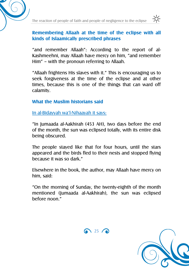



#### **Remembering Allaah at the time of the eclipse with all kinds of Islaamically prescribed phrases**

"and remember Allaah": According to the report of al-Kashmeehni, may Allaah have mercy on him, "and remember Him" – with the pronoun referring to Allaah.

"Allaah frightens His slaves with it." This is encouraging us to seek forgiveness at the time of the eclipse and at other times, because this is one of the things that can ward off calamity.

#### **What the Muslim historians said**

In al-Bidayyah wa'l-Nihaayah it says:

"In Jumaada al-Aakhirah (453 AH), two days before the end of the month, the sun was eclipsed totally, with its entire disk being obscured.

The people stayed like that for four hours, until the stars appeared and the birds fled to their nests and stopped flying because it was so dark."

Elsewhere in the book, the author, may Allaah have mercy on him, said:

"On the morning of Sunday, the twenty-eighth of the month mentioned (Jumaada al-Aakhirah), the sun was eclipsed before noon."